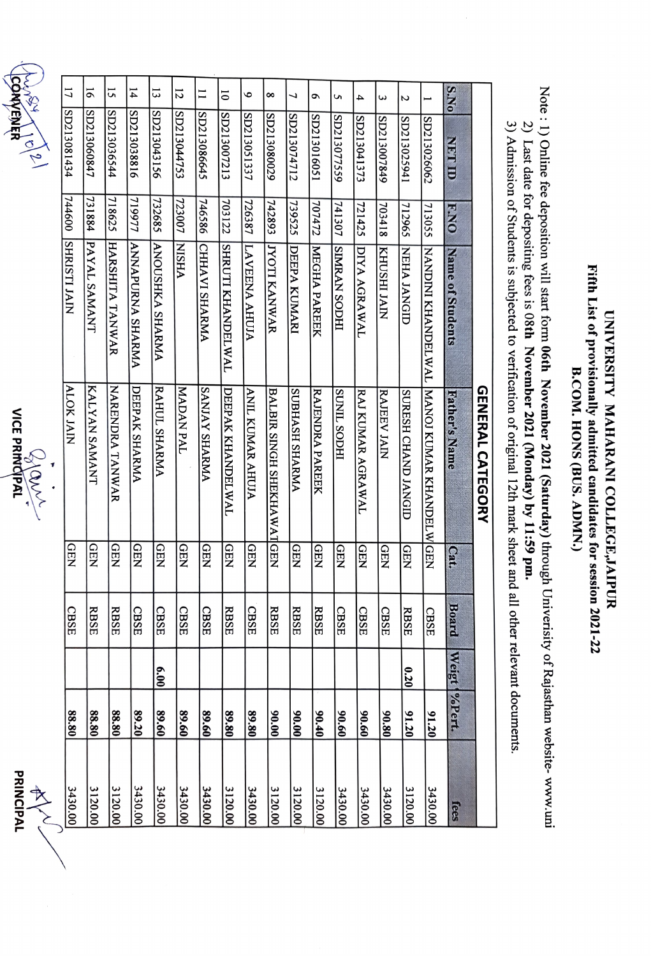Fifth List of provisionally admitted candidates for session 2021-22 Fifth List of provisionally admitted candidates for session 2021-22 UNIVERSITY MAHARANI COLLEGE, JAIPUR UNIVERSITY MAHARANI COLLEGE,JAIPUR B.COM. HONS (BUS. ADMN.) B.COM. HONS (BUS. ADMN.)

Note : 1) Online fee deposition will start form 06th November 2021 (Saturday) through Univerisity of Rajasthan website-www.uni Note: 1) Online fee deposition will start form 06th November 2021 (Saturday) through Univerisity of Rajasthean website- www.uni 2) Last date for depositing fees is 08th November 2021 (Monday) by 11:59 pm. 2) Last date for depositing fees is 08th November 2021 (Monday) by 11:59 pm.

3) Admission of Students is subjected to verification of original 12th mark sheet and all other relevant documents. 3) Admission of Students is subjected to verification of original 12th mark sheet and all other relevant documents.

|      | DDIN/IDN<br>$\begin{array}{c}\n\ast \\ \ast \\ \ast\n\end{array}$ |               |      |             |            | $\frac{1}{2}$<br>Zann     |                         |        | No. 10/10/2   |                |
|------|-------------------------------------------------------------------|---------------|------|-------------|------------|---------------------------|-------------------------|--------|---------------|----------------|
|      | 3430.00                                                           | 88.80         |      | CBSE        | <b>GEN</b> | <b>ALOK JAIN</b>          | SHRISTI JAIN            | 744600 | SD213081434   | 17             |
|      | 3120.00                                                           | 88.80         |      | <b>RBSE</b> | <b>GEN</b> | KALYAN SAMANT             | PAYAL SAMANT            | 731884 | SD213060847   | 5              |
|      | 3120.00                                                           | 88.80         |      | <b>RBSE</b> | <b>QEN</b> | <b>NARENDRA TANWAR</b>    | HARSHITA TANWAR         | 718625 | SD213036544   | 15             |
|      | 3430.00                                                           | 89.20         |      | <b>CBSE</b> | <b>GEN</b> | DEEPAK SHARMA             | <b>ANNAPURNA SHARMA</b> | 719977 | SD213038816   | $\overline{1}$ |
|      | 3430.00                                                           | 89.60         | 6.00 | <b>CBSE</b> | <b>GEN</b> | RAHUL SHARMA              | ANOUSHKA SHARMA         | 32685  | SD213043156   | 13             |
|      | 3430.00                                                           | 89.60         |      | <b>CBSE</b> | <b>GEN</b> | <b>MADAN PAL</b>          | <b>VHSIN</b>            | 723007 | SD213044753   | $\overline{2}$ |
|      | 3430.00                                                           | 89.60         |      | <b>CBSE</b> | <b>GEN</b> | <b>ANJAY SHARMA</b>       | CHHAVI SHARMA           | 746586 | SD213086645   | $\overline{1}$ |
|      | 3120.00                                                           | 89.80         |      | <b>RBSE</b> | <b>QEN</b> | DEEPAK KHANDELWAL         | SHRUTI KHANDELWAL       | 703122 | SD213007213   | $\overline{0}$ |
|      | 3430.00                                                           | 89.80         |      | <b>CBSE</b> | <b>QEN</b> | <b>ANIL KUMAR AHUJA</b>   | LAVEENA AHUJA           | 726387 | SD213051337   | $\bullet$      |
|      | 3120.00                                                           | 00.00         |      | <b>RBSE</b> |            | BALBIR SINGH SHEKHAWATGEN | <b>JYOTI KANWAR</b>     | 742893 | SD213080029   | $\infty$       |
|      | 3120.00                                                           | 90.00         |      | <b>RBSE</b> | <b>GEN</b> | <b>ANAAHS HARMA</b>       | DEEPA KUMARI            | 739525 | SD213074712   | 7              |
|      | 3120.00                                                           | 90.40         |      | <b>RBSE</b> | <b>QEN</b> | <b>RAJENDRA PAREEK</b>    | <b>MEGHA PAREEK</b>     | 707472 | SD213016051   | ç              |
|      | 3430.00                                                           | 90.60         |      | <b>CBSE</b> | <b>GEN</b> | <b>HOOS TINDS</b>         | <b>HIGOS NYAWIS</b>     | 741307 | SD213077559   | S              |
|      | 3430.00                                                           | 09'06         |      | <b>CBSE</b> | <b>GEN</b> | RAJ KUMAR AGRAWAL         | DIYA AGRAWAL            | 721425 | SD213041373   | 4              |
|      | 3430.00                                                           | 90.80         |      | <b>CBSE</b> | <b>GEN</b> | RAJEEV JAIN               | <b>NIVI IHSOHN</b>      | 703418 | 8D213007849   | ε              |
|      | 3120.00                                                           | 91.20         | 0.20 | <b>RBSE</b> | <b>GEN</b> | SURESH CHAND JANGID       | <b>NEHA JANGID</b>      | 712965 | SD213025941   | Z              |
|      | 3430.00                                                           | 91.20         |      | <b>CBSE</b> |            | MANOJ KUMAR KHANDELW GEN  | NANDINI KHANDELWAL      | 713055 | SD213026062   | ⊢              |
| fees |                                                                   | Weigt WePert. |      | Board       | Cat.       | Father's Name             | Name of Students        | ENO    | <b>NBT ID</b> | S.No           |
|      |                                                                   |               |      |             |            | <b>GENERAL CATEGORY</b>   |                         |        |               |                |

COMPENER  $\sim$ CONVENER  $\sim$ 

 $\frac{Q}{\sqrt{Q_{\text{N}}\sqrt{Q_{\text{N}}}}}$ 

PRINCIPAL